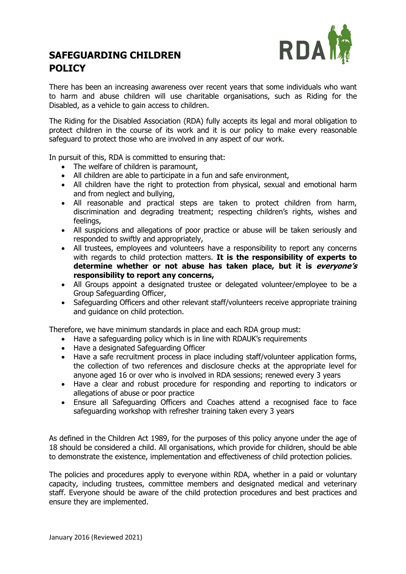

# **SAFEGUARDING CHILDREN POLICY**

There has been an increasing awareness over recent years that some individuals who want to harm and abuse children will use charitable organisations, such as Riding for the Disabled, as a vehicle to gain access to children.

The Riding for the Disabled Association (RDA) fully accepts its legal and moral obligation to protect children in the course of its work and it is our policy to make every reasonable safeguard to protect those who are involved in any aspect of our work.

In pursuit of this, RDA is committed to ensuring that:

- The welfare of children is paramount,
- All children are able to participate in a fun and safe environment,
- All children have the right to protection from physical, sexual and emotional harm and from neglect and bullying,
- All reasonable and practical steps are taken to protect children from harm, discrimination and degrading treatment; respecting children's rights, wishes and feelings,
- All suspicions and allegations of poor practice or abuse will be taken seriously and responded to swiftly and appropriately,
- All trustees, employees and volunteers have a responsibility to report any concerns with regards to child protection matters. **It is the responsibility of experts to determine whether or not abuse has taken place, but it is everyone's responsibility to report any concerns,**
- All Groups appoint a designated trustee or delegated volunteer/employee to be a Group Safeguarding Officer,
- Safeguarding Officers and other relevant staff/volunteers receive appropriate training and guidance on child protection.

Therefore, we have minimum standards in place and each RDA group must:

- Have a safeguarding policy which is in line with RDAUK's requirements
- Have a designated Safeguarding Officer
- Have a safe recruitment process in place including staff/volunteer application forms, the collection of two references and disclosure checks at the appropriate level for anyone aged 16 or over who is involved in RDA sessions; renewed every 3 years
- Have a clear and robust procedure for responding and reporting to indicators or allegations of abuse or poor practice
- Ensure all Safeguarding Officers and Coaches attend a recognised face to face safeguarding workshop with refresher training taken every 3 years

As defined in the Children Act 1989, for the purposes of this policy anyone under the age of 18 should be considered a child. All organisations, which provide for children, should be able to demonstrate the existence, implementation and effectiveness of child protection policies.

The policies and procedures apply to everyone within RDA, whether in a paid or voluntary capacity, including trustees, committee members and designated medical and veterinary staff. Everyone should be aware of the child protection procedures and best practices and ensure they are implemented.